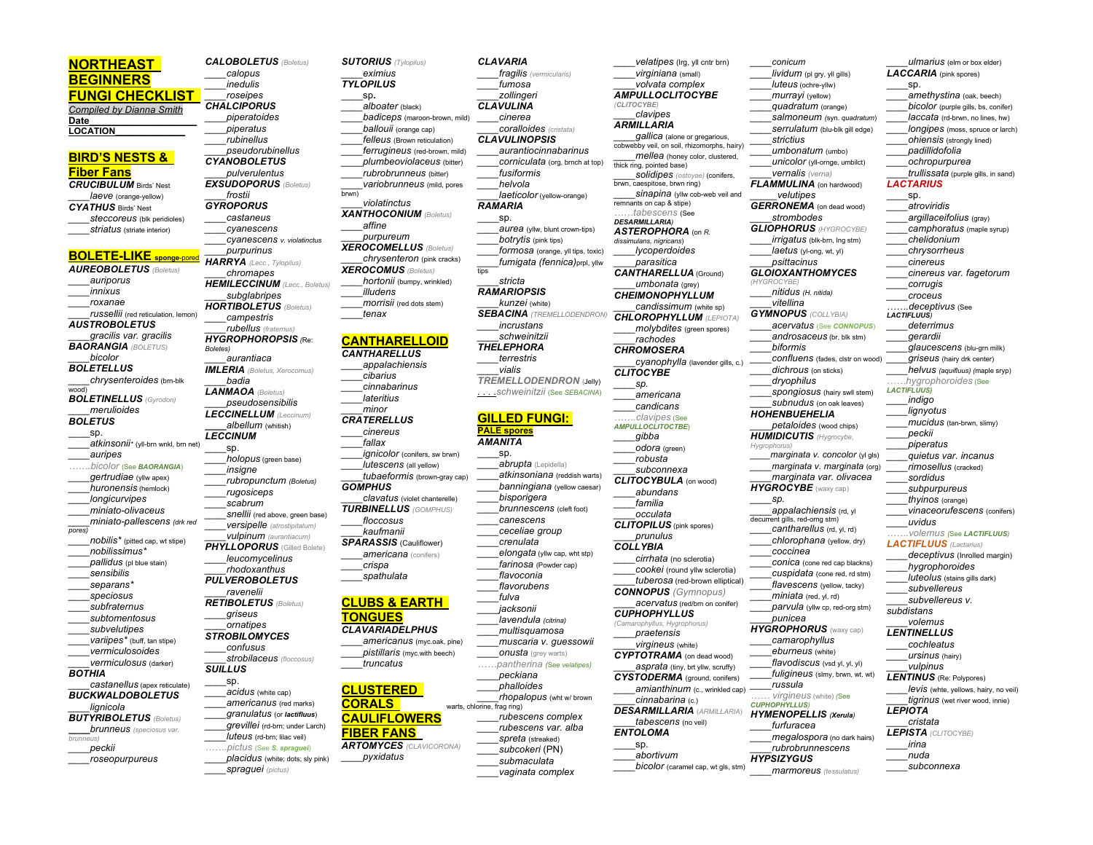# **NORTHEAST BEGINNERS**

**FUNGI CHECKLIST**  *Compiled by Dianna Smith* **Date\_\_\_\_\_\_\_\_\_\_\_\_\_\_\_\_\_\_\_\_**

**LOCATION\_\_\_\_\_\_\_\_\_\_\_\_\_\_**

## **BIRD'S NESTS & Fiber Fans**

*CRUCIBULUM* Birds' Nest *\_\_\_\_laeve* (orange-yellow) *CYATHUS* Birds' Nest *\_\_\_\_steccoreus* (blk peridioles) *\_\_\_\_striatus* (striate interior)

**BOLETE-LIKE sponge**-pored *AUREOBOLETUS (Boletus) \_\_\_\_auriporus \_\_\_\_innixus \_\_\_\_roxanae \_\_\_\_russellii* (red reticulation, lemon) *AUSTROBOLETUS \_\_\_\_gracilis var. gracilis BAORANGIA (BOLETUS) \_\_\_\_bicolor BOLETELLUS \_\_\_\_chrysenteroides* (brn-blk wood) *BOLETINELLUS (Gyrodon) \_\_\_\_merulioides BOLETUS* \_\_\_\_sp. *\_\_\_\_atkinsonii\** (yll-brn wnkl, brn net) *\_\_\_\_auripes …….bicolor* (See *BAORANGIA*) *\_\_\_\_gertrudiae* (yllw apex) *\_\_\_\_huronensis* (hemlock) *\_\_\_\_longicurvipes \_\_\_\_miniato-olivaceus \_\_\_\_miniato-pallescens (drk red pores) \_\_\_\_nobilis\** (pitted cap, wt stipe) *\_\_\_\_nobilissimus\* \_\_\_\_pallidus* (pl blue stain) *\_\_\_\_sensibilis \_\_\_\_separans\* \_\_\_\_speciosus \_\_\_\_subfraternus \_\_\_\_subtomentosus \_\_\_\_subvelutipes \_\_\_\_variipes\** (buff, tan stipe)

*\_\_\_\_vermiculosoides*

*\_\_\_\_lignicola*

*BOTHIA*

*brunneus) \_\_\_\_peckii \_\_\_\_roseopurpureus*

*\_\_\_\_vermiculosus* (darker) *\_\_\_\_castanellus* (apex reticulate) *BUCKWALDOBOLETUS BUTYRIBOLETUS (Boletus) \_\_\_\_brunneus (speciosus var. Boletes) \_\_\_\_aurantiaca \_\_\_\_badia LANMAOA (Boletus) LECCINUM* \_\_\_\_sp. *\_\_\_\_insigne \_\_\_\_rugosiceps \_\_\_\_scabrum \_\_\_\_rhodoxanthus PULVEROBOLETUS \_\_\_\_ravenelii RETIBOLETUS (Boletus) \_\_\_\_griseus \_\_\_\_ornatipes STROBILOMYCES \_\_\_\_confusus SUILLUS* \_\_\_\_sp. *\_\_\_\_spraguei (pictus)*

*CALOBOLETUS (Boletus) \_\_\_\_calopus \_\_\_\_inedulis \_\_\_\_roseipes CHALCIPORUS \_\_\_\_piperatoides \_\_\_\_piperatus \_\_\_\_rubinellus \_\_\_\_pseudorubinellus CYANOBOLETUS \_\_\_\_pulverulentus EXSUDOPORUS (Boletus) \_\_\_\_frostii GYROPORUS \_\_\_\_castaneus \_\_\_\_cyanescens \_\_\_\_cyanescens v. violatinctus \_\_\_\_purpurinus HARRYA (Lecc., Tylopilus) \_\_\_\_chromapes HEMILECCINUM (Lecc., Boletus) \_\_\_\_subglabripes HORTIBOLETUS (Boletus) \_\_\_\_campestris \_\_\_\_rubellus (fraternus) HYGROPHOROPSIS (*Re: *IMLERIA (Boletus, Xerocomus) \_\_\_\_pseudosensibilis LECCINELLUM (Leccinum) \_\_\_\_albellum* (whitish) *\_\_\_\_holopus* (green base) *\_\_\_\_rubropunctum (Boletus) Snellii* (red above, green base) *\_\_\_\_versipelle (atrostipitatum) \_\_\_\_vulpinum (aurantiacum) PHYLLOPORUS* (Gilled Bolete) *\_\_\_\_leucomycelinus \_\_\_\_strobilaceus (floccosus) \_\_\_\_acidus* (white cap) *\_\_\_\_americanus* (red marks) *\_\_\_\_granulatus* (or *lactifluus*) *\_\_\_\_grevillei* (rd-brn; under Larch) *\_\_\_\_luteus* (rd-brn; lilac veil) *…….pictus* (See *S. spraguei*) *\_\_\_\_placidus* (white; dots; sly pink)

```
SUTORIUS (Tylopilus)
      ____eximius
TYLOPILUS
     ____sp.
     ____alboater (black)
     ____badiceps (maroon-brown, mild)
      ____ballouii (orange cap)
      ____felleus (Brown reticulation)
      ____ferrugineus (red-brown, mild)
     ____plumbeoviolaceus (bitter)
     ____rubrobrunneus (bitter)
      ____variobrunneus (mild, pores 
brwn)
      ____violatinctus
XANTHOCONIUM (Boletus)
     ____affine
     ____purpureum
XEROCOMELLUS (Boletus)
      ____chrysenteron (pink cracks)
XEROCOMUS (Boletus)
      ____hortonii (bumpy, wrinkled)
      ____illudens
     ____morrisii (red dots stem)
      ____tenax
CANTHARELLOID
CANTHARELLUS
      ____appalachiensis
      ____cibarius
      ____cinnabarinus
      ____lateritius
     ____minor
CRATERELLUS
     ____cinereus
      ____fallax
      ignicolor (conifers, sw brwn)
      ____lutescens (all yellow)
      ____tubaeformis (brown-gray cap)
GOMPHUS
      ____clavatus (violet chanterelle)
TURBINELLUS (GOMPHUS)
      ____floccosus
      ____kaufmanii
SPARASSIS (Cauliflower)
      ____americana (conifers)
     ____crispa
     ____spathulata
CLUBS & EARTH 
TONGUES
CLAVARIADELPHUS
      ____americanus (myc.oak, pine)
      ____pistillaris (myc.with beech)
     ____truncatus
CLUSTERED 
CORALS 
CAULIFLOWERS
FIBER FANS
ARTOMYCES (CLAVICORONA)
                            warts, chlorine, frag ring)
```
*\_\_\_\_pyxidatus*

```
CLAVARIA
     ____fragilis (vermicularis)
     ____fumosa
     ____zollingeri
CLAVULINA
     ____cinerea
     ____coralloides (cristata)
CLAVULINOPSIS
     ____aurantiocinnabarinus
     ____corniculata (org, brnch at top)
     ____fusiformis
     ____helvola
      ____laeticolor (yellow-orange)
RAMARIA
     aurea (yllw, blunt crown-tips)
     ____botrytis (pink tips)
     ____formosa (orange, yll tips, toxic)
     ____fumigata (fennica)prpl, yllw 
      ____stricta
RAMARIOPSIS
     ____kunzei (white)
SEBACINA (TREMELLODENDRON)
     ____incrustans
     ____schweinitzii
THELEPHORA
     ____terrestris
     ____vialis
TREMELLODENDRON (Jelly)
. . . .schweinitzii (See SEBACINA)
GILLED FUNGI:
PALE spores
AMANITA
     ____abrupta (Lepidella)
     ____atkinsoniana (reddish warts)
     ____banningiana (yellow caesar)
     ____bisporigera
     ____brunnescens (cleft foot)
     ____canescens
     ____ceceliae group
     ____crenulata
     ____elongata (yllw cap, wht stp)
     ____farinosa (Powder cap)
     ____flavoconia 
     ____flavorubens
     ____fulva
     ____jacksonii
     ____lavendula (citrina)
     ____multisquamosa 
     ____muscaria v. guessowii
     onusta (grey warts)
……pantherina (See velatipes)
     ____peckiana
     ____phalloides
     ____rhopalopus (wht w/ brown 
     ____rubescens complex
     ____rubescens var. alba
     ____spreta (streaked)
     ____subcokeri (PN)
     ____submaculata
                                            ____bicolor (caramel cap, wt gls, stm)
```
\_\_\_\_sp.

\_\_\_\_sp.

*\_\_\_\_vaginata complex*

tips

```
____velatipes (lrg, yll cntr brn) 
     ____virginiana (small)
     ____volvata complex
AMPULLOCLITOCYBE
(CLITOCYBE)
      ____clavipes
ARMILLARIA
     ____gallica (alone or gregarious, 
cobwebby veil, on soil, rhizomorphs, hairy)
     ____mellea (honey color, clustered, 
thick ring, pointed base)
     solidipes (ostoyae) (conifers,
brwn, caespitose, brwn ring)
     sinapina (yllw cob-web veil and
remnants on cap & stipe)
    ……tabescens (See
DESARMILLARIA)
ASTEROPHORA (on R. 
dissimulans, nigricans)
     ____lycoperdoides
     ____parasitica
CANTHARELLUA (Ground)
      ____umbonata (grey)
CHEIMONOPHYLLUM
     ____candissimum (white sp)
CHLOROPHYLLUM (LEPIOTA)
     ____molybdites (green spores)
      ____rachodes
CHROMOSERA
     ____cyanophylla (lavender gills, c.)
CLITOCYBE
     ____sp.
     ____americana
     ____candicans
     …….clavipes (See 
AMPULLOCLITOCTBE)
     ____gibba
     ____odora (green)
     ____robusta
     ____subconnexa
CLITOCYBULA (on wood)
      ____abundans
     ____familia
     ____occulata
CLITOPILUS (pink spores)
     ____prunulus 
COLLYBIA
     ____cirrhata (no sclerotia)
     ____cookei (round yllw sclerotia)
     ____tuberosa (red-brown elliptical)
CONNOPUS (Gymnopus)
     ____acervatus (red/brn on conifer)
CUPHOPHYLLUS
(Camarophyllus, Hygrophorus)
     ____praetensis
      ____virgineus (white)
CYPTOTRAMA (on dead wood)
      ____asprata (tiny, brt yllw, scruffy)
CYSTODERMA (ground, conifers)
     ____amianthinum (c., wrinkled cap)
     ____cinnabarina (c.)
DESARMILLARIA (ARMILLARIA)
     ____tabescens (no veil)
ENTOLOMA
     ____sp.
     ____abortivum
                                      (HYGROCYBE)
                                           ____russula
                                          …… virgineus (white) (See
                                      CUPHOPHYLLUS)
                                     HYMENOPELLIS (Xerula)
                                           ____furfuracea
                                      HYPSIZYGUS
```
*\_\_\_\_conicum lividum* (pl arv, yll gills) *\_\_\_\_luteus* (ochre-yllw) *\_\_\_\_murrayi* (yellow) *\_\_\_\_quadratum* (orange) *\_\_\_\_salmoneum (*syn. *quadratum*) *\_\_\_\_serrulatum* (blu-blk gill edge) *\_\_\_\_strictius \_\_\_\_umbonatum* (umbo) *\_\_\_\_unicolor* (yll-ornge, umbilct) *\_\_\_\_vernalis (verna) FLAMMULINA* (on hardwood) *\_\_\_\_\_velutipes GERRONEMA* (on dead wood) *\_\_\_\_strombodes GLIOPHORUS (HYGROCYBE) \_\_\_\_irrigatus* (blk-brn, lng stm) *\_\_\_\_laetus* (yl-ong, wt, yl) *\_\_\_\_psittacinus GLOIOXANTHOMYCES \_\_\_\_nitidus (H. nitida) \_\_\_\_vitellina GYMNOPUS (COLLYBIA) \_\_\_\_acervatus* (See *CONNOPUS*) *\_\_\_\_androsaceus* (br, blk stm) *\_\_\_\_biformis \_\_\_\_confluens* (fades, clstr on wood) *\_\_\_\_dichrous* (on sticks) *\_\_\_\_dryophilus \_\_\_\_spongiosus* (hairy swll stem) *\_\_\_\_subnudus* (on oak leaves) *HOHENBUEHELIA \_\_\_\_petaloides* (wood chips) *HUMIDICUTIS (Hygrocybe, Hygrophorus) \_\_\_\_marginata v. concolor* (yl gls) *\_\_\_\_marginata v. marginata* (org) *\_\_\_\_marginata var. olivacea HYGROCYBE* (waxy cap) *\_\_\_\_sp. \_\_\_\_appalachiensis* (rd, yl decurrent gills, red-orng stm) *\_\_\_\_cantharellus* (rd, yl, rd) *\_\_\_\_chlorophana* (yellow, dry) *\_\_\_\_coccinea \_\_\_\_conica* (cone red cap blackns) *\_\_\_\_cuspidata* (cone red, rd stm) *\_\_\_\_flavescens* (yellow, tacky) *\_\_\_\_miniata* (red, yl, rd) parvula (yllw cp, red-org stm) *\_\_\_\_punicea HYGROPHORUS* (waxy cap) *\_\_\_\_camarophyllus \_\_\_\_eburneus* (white) *\_\_\_\_flavodiscus* (vsd yl, yl, yl) *\_\_\_\_fuligineus* (slmy, brwn, wt, wt)

> *\_\_\_\_megalospora* (no dark hairs) *\_\_\_\_rubrobrunnescens*

*\_\_\_\_marmoreus (tessulatus)*

### \_\_\_\_sp. *\_\_\_\_amethystina* (oak, beech) *bicolor* (purple gills, bs, conifer) *\_\_\_\_laccata* (rd-brwn, no lines, hw) *\_\_\_\_longipes* (moss, spruce or larch) *\_\_\_\_ohiensis* (strongly lined) *\_\_\_\_padillidofolia \_\_\_\_ochropurpurea* \_\_\_\_*trullissata* (purple gills, in sand) *LACTARIUS* \_\_\_\_sp. *\_\_\_\_atroviridis \_\_\_\_argillaceifolius* (gray) *\_\_\_\_camphoratus* (maple syrup) *\_\_\_\_chelidonium \_\_\_\_chrysorrheus \_\_\_\_cinereus \_\_\_\_cinereus var. fagetorum \_\_\_\_corrugis \_\_\_\_croceus …….deceptivus* (See *LACTIFLUUS) \_\_\_\_deterrimus \_\_\_\_gerardii \_\_\_\_glaucescens* (blu-grn milk) *\_\_\_\_griseus* (hairy drk center) *\_\_\_\_helvus (aquifluus) (*maple sryp) *……hygrophoroides* (See *LACTIFLUUS) \_\_\_\_indigo \_\_\_\_lignyotus \_\_\_\_mucidus* (tan-brwn, slimy) *\_\_\_\_peckii \_\_\_\_piperatus \_\_\_\_quietus var. incanus \_\_\_\_rimosellus* (cracked) *\_\_\_\_sordidus \_\_\_\_subpurpureus \_\_\_\_thyinos* (orange) *\_\_\_\_vinaceorufescens* (conifers) *\_\_\_\_uvidus …….volemus (*See *LACTIFLUUS) LACTIFLUUS (Lactarius) \_\_\_\_deceptivus* (Inrolled margin) *\_\_\_\_hygrophoroides \_\_\_\_luteolus* (stains gills dark) *\_\_\_\_subvellereus \_\_\_\_subvellereus v. subdistans \_\_\_\_volemus LENTINELLUS \_\_\_\_cochleatus \_\_\_\_ursinus* (hairy) *\_\_\_\_vulpinus LENTINUS* (Re: Polypores) *\_\_\_\_levis* (whte, yellows, hairy, no veil) *\_\_\_\_tigrinus* (wet river wood, innie) *LEPIOTA \_\_\_\_cristata LEPISTA (CLITOCYBE) \_\_\_\_irina \_\_\_\_nuda \_\_\_\_subconnexa*

*\_\_\_\_ulmarius* (elm or box elder) *LACCARIA* (pink spores)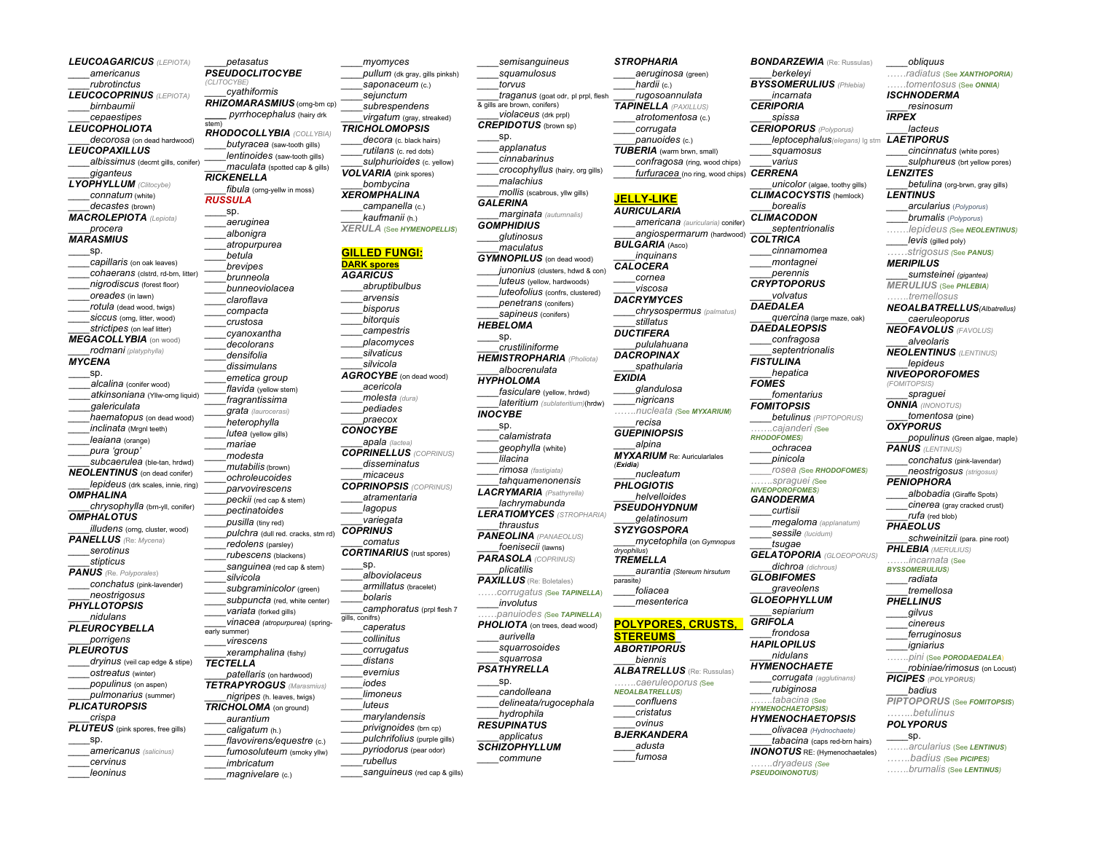*LEUCOAGARICUS (LEPIOTA) \_\_\_\_americanus \_\_\_\_rubrotinctus LEUCOCOPRINUS (LEPIOTA) \_\_\_\_birnbaumii \_\_\_\_cepaestipes LEUCOPHOLIOTA \_\_\_\_decorosa* (on dead hardwood) *LEUCOPAXILLUS \_\_\_\_albissimus* (decrnt gills, conifer) *\_\_\_\_giganteus LYOPHYLLUM (Clitocybe) \_\_\_\_connatum* (white) *\_\_\_\_decastes* (brown) *MACROLEPIOTA (Lepiota) \_\_\_\_procera MARASMIUS* \_\_\_\_sp. *\_\_\_\_capillaris* (on oak leaves) *\_\_\_\_cohaerans* (clstrd, rd-brn, litter) *\_\_\_\_nigrodiscus* (forest floor) *\_\_\_\_oreades* (in lawn) *\_\_\_\_rotula* (dead wood, twigs) SICCUS (orng, litter, wood) *\_\_\_\_strictipes* (on leaf litter) *MEGACOLLYBIA* (on wood) *\_\_\_\_rodmani (platyphylla) MYCENA* \_\_\_\_sp. *\_\_\_\_alcalina* (conifer wood) *\_\_\_\_atkinsoniana* (Yllw-orng liquid) *\_\_\_\_galericulata \_\_\_\_haematopus* (on dead wood) *\_\_\_\_inclinata* (Mrgnl teeth) *\_\_\_\_leaiana* (orange) *\_\_\_\_pura 'group' \_\_\_\_subcaerulea* (ble-tan, hrdwd) *NEOLENTINUS* (on dead conifer) *\_\_\_\_lepideus* (drk scales, innie, ring) *OMPHALINA \_\_\_\_chrysophylla* (brn-yll, conifer) *OMPHALOTUS \_\_\_\_illudens* (orng, cluster, wood) *PANELLUS (*Re: *Mycena*) *\_\_\_\_serotinus \_\_\_\_stipticus PANUS (*Re. *Polyporales*) *\_\_\_\_conchatus* (pink-lavender) *\_\_\_\_neostrigosus PHYLLOTOPSIS \_\_\_\_nidulans PLEUROCYBELLA \_\_\_\_porrigens PLEUROTUS dryinus* (veil cap edge & stipe) *\_\_\_\_ostreatus* (winter) *\_\_\_\_populinus* (on aspen) *\_\_\_\_pulmonarius* (summer) *PLICATUROPSIS \_\_\_\_crispa PLUTEUS* (pink spores, free gills) \_\_\_\_sp. *\_\_\_\_americanus (salicinus) \_\_\_\_cervinus \_\_\_\_leoninus* stem)

*\_\_\_\_petasatus PSEUDOCLITOCYBE (CLITOCYBE) \_\_\_\_cyathiformis RHIZOMARASMIUS* (orng-brn cp) *\_\_\_\_ pyrrhocephalus* (hairy drk *RHODOCOLLYBIA (COLLYBIA) \_\_\_\_butyracea* (saw-tooth gills) *\_\_\_\_lentinoides* (saw-tooth gills) *\_\_\_\_maculata* (spotted cap & gills) *RICKENELLA* fibula (orng-yellw in moss) *RUSSULA* \_\_\_\_sp. *\_\_\_\_aeruginea \_\_\_\_albonigra \_\_\_\_atropurpurea \_\_\_\_betula \_\_\_\_brevipes \_\_\_\_brunneola \_\_\_\_bunneoviolacea \_\_\_\_claroflava \_\_\_\_compacta \_\_\_\_crustosa \_\_\_\_cyanoxantha \_\_\_\_decolorans \_\_\_\_densifolia \_\_\_\_dissimulans \_\_\_\_emetica group \_\_\_\_flavida* (yellow stem) *\_\_\_\_fragrantissima \_\_\_\_grata (laurocerasi) \_\_\_\_heterophylla lutea* (vellow gills) *\_\_\_\_mariae \_\_\_\_modesta \_\_\_\_mutabilis* (brown) *\_\_\_\_ochroleucoides \_\_\_\_parvovirescens \_\_\_\_peckii* (red cap & stem) *\_\_\_\_pectinatoides \_\_\_\_pusilla* (tiny red) *\_\_\_\_pulchra* (dull red. cracks, stm rd) *\_\_\_\_redolens* (parsley) *\_\_\_\_rubescens* (blackens) *\_\_\_\_sanguinea* (red cap & stem) *\_\_\_\_silvicola \_\_\_\_subgraminicolor* (green) *\_\_\_\_subpuncta* (red, white center) *\_\_\_\_variata* (forked gills) *\_\_\_\_vinacea (atropurpurea)* (springearly summer) *\_\_\_\_virescens \_\_\_\_xeramphalina* (fishy*) TECTELLA \_\_\_\_patellaris* (on hardwood) *TETRAPYROGUS (Marasmius) \_\_\_\_nigripes* (h. leaves, twigs) *TRICHOLOMA* (on ground) *\_\_\_\_aurantium \_\_\_\_caligatum* (h.) *\_\_\_\_flavovirens/equestre* (c.) *\_\_\_\_fumosoluteum* (smoky yllw) *\_\_\_\_imbricatum \_\_\_\_magnivelare* (c.)

*\_\_\_\_pullum* (dk gray, gills pinksh) *\_\_\_\_saponaceum* (c.) *\_\_\_\_sejunctum \_\_\_\_subrespendens \_\_\_\_virgatum* (gray, streaked) *TRICHOLOMOPSIS \_\_\_\_decora* (c. black hairs) *\_\_\_\_rutilans* (c. red dots) *\_\_\_\_sulphurioides* (c. yellow) *VOLVARIA* (pink spores) *\_\_\_\_bombycina XEROMPHALINA \_\_\_\_campanella* (c.) *\_\_\_\_kaufmanii* (h.) *XERULA* (See *HYMENOPELLIS*) **GILLED FUNGI: DARK spores** *AGARICUS \_\_\_\_abruptibulbus \_\_\_\_arvensis \_\_\_\_bisporus \_\_\_\_bitorquis \_\_\_\_campestris \_\_\_\_placomyces \_\_\_\_silvaticus \_\_\_\_silvicola AGROCYBE* (on dead wood) *\_\_\_\_acericola \_\_\_\_molesta (dura) \_\_\_\_pediades \_\_\_\_praecox CONOCYBE \_\_\_\_apala (lactea) COPRINELLUS (COPRINUS) \_\_\_\_disseminatus \_\_\_\_micaceus COPRINOPSIS (COPRINUS) \_\_\_\_atramentaria \_\_\_\_lagopus \_\_\_\_variegata COPRINUS \_\_\_\_comatus CORTINARIUS* (rust spores) \_\_\_\_sp. *\_\_\_\_alboviolaceus \_\_\_\_armillatus* (bracelet) *\_\_\_\_bolaris \_\_\_\_camphoratus* (prpl flesh 7 gills, conifrs) *\_\_\_\_caperatus \_\_\_\_collinitus \_\_\_\_corrugatus \_\_\_\_distans \_\_\_\_evernius \_\_\_\_iodes \_\_\_\_limoneus \_\_\_\_luteus \_\_\_\_marylandensis \_\_\_\_privignoides* (brn cp) *\_\_\_\_pulchrifolius* (purple gills) *\_\_\_\_pyriodorus* (pear odor) *\_\_\_\_rubellus \_\_\_\_sanguineus* (red cap & gills)

*\_\_\_\_myomyces*

#### $\overline{8}$  gills are brown, conifers) *\_\_\_\_violaceus* (drk prpl) *CREPIDOTUS* (brown sp) \_\_\_\_sp. *\_\_\_\_applanatus \_\_\_\_cinnabarinus \_\_\_\_crocophyllus* (hairy, org gills) *\_\_\_\_malachius \_\_\_\_mollis* (scabrous, yllw gills) *GALERINA \_\_\_\_marginata (autumnalis) GOMPHIDIUS \_\_\_\_glutinosus \_\_\_\_maculatus GYMNOPILUS* (on dead wood) *junonius* (clusters, hdwd & con) *\_\_\_\_luteus* (yellow, hardwoods) *\_\_\_\_luteofolius* (confrs, clustered) *\_\_\_\_penetrans* (conifers) *\_\_\_\_sapineus* (conifers) *HEBELOMA* \_\_\_\_sp. *\_\_\_\_crustiliniforme HEMISTROPHARIA (Pholiota) \_\_\_\_albocrenulata HYPHOLOMA \_\_\_\_fasiculare* (yellow, hrdwd) *\_\_\_\_lateritium (sublateritium)*(hrdw) *INOCYBE* \_\_\_\_sp. *\_\_\_\_calamistrata \_\_\_\_geophylla* (white) *\_\_\_\_lilacina \_\_\_\_rimosa (fastigiata) \_\_\_\_tahquamenonensis LACRYMARIA (Psathyrella) \_\_\_\_lachrymabunda LERATIOMYCES (STROPHARIA) \_\_\_\_thraustus PANEOLINA (PANAEOLUS) \_\_\_\_foenisecii* (lawns) *PARASOLA (COPRINUS) \_\_\_\_plicatilis PAXILLUS* (Re: Boletales) *……corrugatus (*See *TAPINELLA*) *\_\_\_\_involutus ……panuiodes (*See *TAPINELLA*) **PHOLIOTA** (on trees, dead wood) *\_\_\_\_aurivella \_\_\_\_squarrosoides \_\_\_\_squarrosa PSATHYRELLA* \_\_\_\_sp. *\_\_\_\_candolleana \_\_\_\_delineata/rugocephala \_\_\_\_hydrophila RESUPINATUS \_\_\_\_applicatus SCHIZOPHYLLUM \_\_\_\_commune EXIDIA (Exidia) dryophilus*) parasite*)*

*\_\_\_\_semisanguineus \_\_\_\_squamulosus \_\_\_\_torvus*

*\_\_\_\_traganus* (goat odr, pl prpl, flesh

*STROPHARIA \_\_\_\_aeruginosa* (green) *\_\_\_\_hardii* (c.) *\_\_\_\_rugosoannulata TAPINELLA (PAXILLUS) \_\_\_\_atrotomentosa* (c.) *\_\_\_\_corrugata \_\_\_\_panuoides* (c.) *TUBERIA* (warm brwn, small) *\_\_\_\_confragosa* (ring, wood chips) *\_\_\_\_furfuracea* (no ring, wood chips) *CERRENA* **JELLY-LIKE** *AURICULARIA \_\_\_\_americana (auricularia)* conifer) *\_\_\_\_angiospermarum* (hardwood) *BULGARIA* (Asco) *\_\_\_\_inquinans CALOCERA \_\_\_\_cornea \_\_\_\_viscosa DACRYMYCES \_\_\_\_chrysospermus (palmatus) \_\_\_\_stillatus DUCTIFERA \_\_\_\_pululahuana DACROPINAX \_\_\_\_spathularia \_\_\_\_glandulosa \_\_\_\_nigricans …….nucleata (*See *MYXARIUM) \_\_\_\_recisa GUEPINIOPSIS \_\_\_\_alpina MYXARIUM* Re: Auricularlales *\_\_\_\_nucleatum PHLOGIOTIS \_\_\_\_helvelloides PSEUDOHYDNUM \_\_\_\_gelatinosum SYZYGOSPORA \_\_\_\_mycetophila* (on *Gymnopus TREMELLA \_\_\_\_aurantia (Stereum hirsutum \_\_\_\_foliacea \_\_\_\_mesenterica* **POLYPORES, CRUSTS, STEREUMS** *ABORTIPORUS \_\_\_\_biennis ALBATRELLUS* (Re: Russulas) *…….caeruleoporus (*See *NEOALBATRELLUS) \_\_\_\_confluens \_\_\_\_cristatus \_\_\_\_ovinus BJERKANDERA \_\_\_\_adusta \_\_\_\_fumosa \_\_\_\_berkeleyi \_\_\_\_incarnata CERIPORIA \_\_\_\_spissa \_\_\_\_varius \_\_\_\_borealis CLIMACODON COLTRICA \_\_\_\_perennis CRYPTOPORUS \_\_\_\_volvatus DAEDALEA DAEDALEOPSIS FISTULINA \_\_\_\_hepatica FOMES FOMITOPSIS …….cajanderi (*See *RHODOFOMES) \_\_\_\_ochracea \_\_\_\_pinicola …….spraguei (*See *NIVEOPOROFOMES) GANODERMA \_\_\_\_curtisii \_\_\_\_tsugae GLOBIFOMES GLOEOPHYLLUM \_\_\_\_sepiarium GRIFOLA \_\_\_\_frondosa HAPILOPILUS \_\_\_\_nidulans HYMENOCHAETE \_\_\_\_rubiginosa HYMENOCHAETOPSIS) HYMENOCHAETOPSIS \_\_\_\_olivacea (Hydnochaete) \_\_\_\_tabacina* (caps red-brn hairs) *INONOTUS* RE: (Hymenochaetales) *…….dryadeus (See* 

*PSEUDOINONOTUS)*

*BONDARZEWIA* (Re: Russulas) *BYSSOMERULIUS (Phlebia) CERIOPORUS (Polyporus) leptocephalus(elegans)* lg stm *\_\_\_\_squamosus unicolor* (algae, toothy gills) *CLIMACOCYSTIS* (hemlock) *\_\_\_\_septentrionalis \_\_\_\_cinnamomea \_\_\_\_montagnei \_\_\_\_quercina* (large maze, oak) *\_\_\_\_confragosa \_\_\_\_septentrionalis \_\_\_\_fomentarius \_\_\_\_betulinus (PIPTOPORUS) \_\_\_\_rosea (*See *RHODOFOMES) \_\_\_\_megaloma (applanatum) \_\_\_\_sessile (lucidum) GELATOPORIA (GLOEOPORUS) \_\_\_\_dichroa (dichrous) \_\_\_\_graveolens \_\_\_\_corrugata (agglutinans) …….tabacina* (See *\_\_\_\_obliquus ……radiatus* (See *XANTHOPORIA) ……tomentosus* (See *ONNIA) ISCHNODERMA \_\_\_\_resinosum IRPEX LAETIPORUS LENZITES LENTINUS MERIPILUS (FOMITOPSIS) OXYPORUS PHAEOLUS PHELLINUS \_\_\_\_gilvus \_\_\_\_badius*

*\_\_\_\_lacteus \_\_\_\_cincinnatus* (white pores) *\_\_\_\_sulphureus* (brt yellow pores) *\_\_\_\_betulina* (org-brwn, gray gills) *\_\_\_\_arcularius* (*Polyporus*) \_\_\_\_*brumalis* (*Polyporus*) …….*lepideus (*See *NEOLENTINUS) \_\_\_\_levis* (gilled poly) *……strigosus (*See *PANUS) \_\_\_\_sumsteinei (gigantea) MERULIUS* (See *PHLEBIA) …….tremellosus NEOALBATRELLUS(Albatrellus) \_\_\_\_caeruleoporus NEOFAVOLUS (FAVOLUS) \_\_\_\_alveolaris NEOLENTINUS (LENTINUS) \_\_\_\_lepideus NIVEOPOROFOMES \_\_\_\_spraguei ONNIA (INONOTUS) \_\_\_\_tomentosa* (pine) *\_\_\_\_populinus* (Green algae, maple) *PANUS (LENTINUS) \_\_\_\_conchatus* (pink-lavendar) *\_\_\_\_neostrigosus (strigosus) PENIOPHORA \_\_\_\_albobadia* (Giraffe Spots) *\_\_\_\_cinerea* (gray cracked crust) *\_\_\_\_rufa* (red blob) *schweinitzii* (para. pine root) *PHLEBIA (MERULIUS) …….incarnata* (See *BYSSOMERULIUS) \_\_\_\_radiata \_\_\_\_tremellosa \_\_\_\_cinereus \_\_\_\_ferruginosus \_\_\_\_igniarius …….pini* (See *PORODAEDALEA*) *\_\_\_\_robiniae/rimosus* (on Locust) *PICIPES (POLYPORUS) PIPTOPORUS* (See *FOMITOPSIS*) *……..betulinus POLYPORUS* \_\_\_\_sp. *…….arcularius* (See *LENTINUS*) *…….badius (*See *PICIPES) …….brumalis* (See *LENTINUS)*